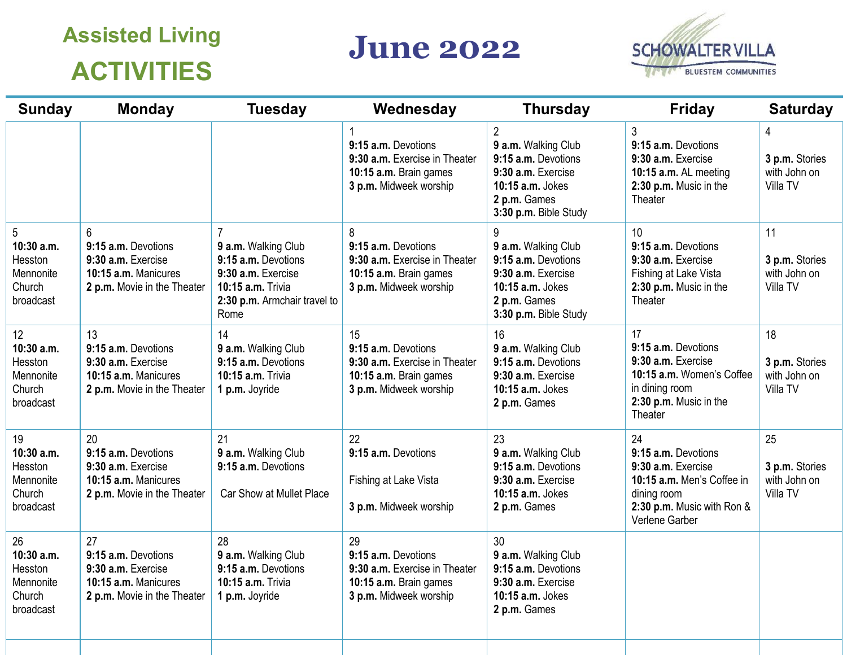## **Assisted Living ACTIVITIES**

## **June 2022**



| <b>Sunday</b>                                                   | <b>Monday</b>                                                                                          | <b>Tuesday</b>                                                                                                                | Wednesday                                                                                                      | <b>Thursday</b>                                                                                                                                 | <b>Friday</b>                                                                                                                                | <b>Saturday</b>                                  |
|-----------------------------------------------------------------|--------------------------------------------------------------------------------------------------------|-------------------------------------------------------------------------------------------------------------------------------|----------------------------------------------------------------------------------------------------------------|-------------------------------------------------------------------------------------------------------------------------------------------------|----------------------------------------------------------------------------------------------------------------------------------------------|--------------------------------------------------|
|                                                                 |                                                                                                        |                                                                                                                               | 9:15 a.m. Devotions<br>9:30 a.m. Exercise in Theater<br>10:15 a.m. Brain games<br>3 p.m. Midweek worship       | $\overline{2}$<br>9 a.m. Walking Club<br>9:15 a.m. Devotions<br>9:30 a.m. Exercise<br>10:15 a.m. Jokes<br>2 p.m. Games<br>3:30 p.m. Bible Study | 3<br>9:15 a.m. Devotions<br>9:30 a.m. Exercise<br>10:15 a.m. AL meeting<br>2:30 p.m. Music in the<br>Theater                                 | 4<br>3 p.m. Stories<br>with John on<br>Villa TV  |
| 5<br>10:30 a.m.<br>Hesston<br>Mennonite<br>Church<br>broadcast  | 6<br>9:15 a.m. Devotions<br>9:30 a.m. Exercise<br>10:15 a.m. Manicures<br>2 p.m. Movie in the Theater  | 9 a.m. Walking Club<br>9:15 a.m. Devotions<br>9:30 a.m. Exercise<br>10:15 a.m. Trivia<br>2:30 p.m. Armchair travel to<br>Rome | 8<br>9:15 a.m. Devotions<br>9:30 a.m. Exercise in Theater<br>10:15 a.m. Brain games<br>3 p.m. Midweek worship  | 9 a.m. Walking Club<br>9:15 a.m. Devotions<br>9:30 a.m. Exercise<br>10:15 a.m. Jokes<br>2 p.m. Games<br>3:30 p.m. Bible Study                   | 10<br>9:15 a.m. Devotions<br>9:30 a.m. Exercise<br>Fishing at Lake Vista<br>2:30 p.m. Music in the<br>Theater                                | 11<br>3 p.m. Stories<br>with John on<br>Villa TV |
| 12<br>10:30 a.m.<br>Hesston<br>Mennonite<br>Church<br>broadcast | 13<br>9:15 a.m. Devotions<br>9:30 a.m. Exercise<br>10:15 a.m. Manicures<br>2 p.m. Movie in the Theater | 14<br>9 a.m. Walking Club<br>9:15 a.m. Devotions<br>10:15 a.m. Trivia<br>1 p.m. Joyride                                       | 15<br>9:15 a.m. Devotions<br>9:30 a.m. Exercise in Theater<br>10:15 a.m. Brain games<br>3 p.m. Midweek worship | 16<br>9 a.m. Walking Club<br>9:15 a.m. Devotions<br>9:30 a.m. Exercise<br>10:15 a.m. Jokes<br>2 p.m. Games                                      | 17<br>9:15 a.m. Devotions<br>9:30 a.m. Exercise<br>10:15 a.m. Women's Coffee<br>in dining room<br>2:30 p.m. Music in the<br>Theater          | 18<br>3 p.m. Stories<br>with John on<br>Villa TV |
| 19<br>10:30 a.m.<br>Hesston<br>Mennonite<br>Church<br>broadcast | 20<br>9:15 a.m. Devotions<br>9:30 a.m. Exercise<br>10:15 a.m. Manicures<br>2 p.m. Movie in the Theater | 21<br>9 a.m. Walking Club<br>9:15 a.m. Devotions<br>Car Show at Mullet Place                                                  | 22<br>9:15 a.m. Devotions<br>Fishing at Lake Vista<br>3 p.m. Midweek worship                                   | 23<br>9 a.m. Walking Club<br>9:15 a.m. Devotions<br>9:30 a.m. Exercise<br>10:15 a.m. Jokes<br>2 p.m. Games                                      | 24<br>9:15 a.m. Devotions<br>9:30 a.m. Exercise<br>10:15 a.m. Men's Coffee in<br>dining room<br>2:30 p.m. Music with Ron &<br>Verlene Garber | 25<br>3 p.m. Stories<br>with John on<br>Villa TV |
| 26<br>10:30 a.m.<br>Hesston<br>Mennonite<br>Church<br>broadcast | 27<br>9:15 a.m. Devotions<br>9:30 a.m. Exercise<br>10:15 a.m. Manicures<br>2 p.m. Movie in the Theater | 28<br>9 a.m. Walking Club<br>9:15 a.m. Devotions<br>10:15 a.m. Trivia<br>1 p.m. Joyride                                       | 29<br>9:15 a.m. Devotions<br>9:30 a.m. Exercise in Theater<br>10:15 a.m. Brain games<br>3 p.m. Midweek worship | 30<br>9 a.m. Walking Club<br>9:15 a.m. Devotions<br>9:30 a.m. Exercise<br>10:15 a.m. Jokes<br>2 p.m. Games                                      |                                                                                                                                              |                                                  |